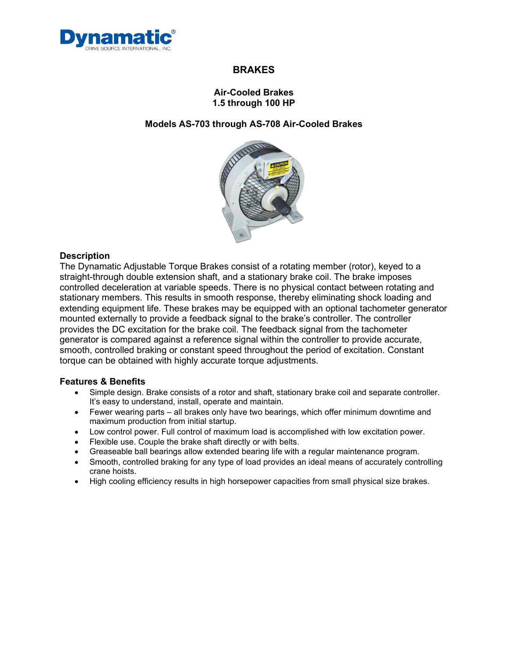

### **Air-Cooled Brakes 1.5 through 100 HP**

### **Models AS-703 through AS-708 Air-Cooled Brakes**



#### **Description**

The Dynamatic Adjustable Torque Brakes consist of a rotating member (rotor), keyed to a straight-through double extension shaft, and a stationary brake coil. The brake imposes controlled deceleration at variable speeds. There is no physical contact between rotating and stationary members. This results in smooth response, thereby eliminating shock loading and extending equipment life. These brakes may be equipped with an optional tachometer generator mounted externally to provide a feedback signal to the brake's controller. The controller provides the DC excitation for the brake coil. The feedback signal from the tachometer generator is compared against a reference signal within the controller to provide accurate, smooth, controlled braking or constant speed throughout the period of excitation. Constant torque can be obtained with highly accurate torque adjustments.

#### **Features & Benefits**

- Simple design. Brake consists of a rotor and shaft, stationary brake coil and separate controller. It's easy to understand, install, operate and maintain.
- Fewer wearing parts all brakes only have two bearings, which offer minimum downtime and maximum production from initial startup.
- Low control power. Full control of maximum load is accomplished with low excitation power.
- Flexible use. Couple the brake shaft directly or with belts.
- Greaseable ball bearings allow extended bearing life with a regular maintenance program.
- Smooth, controlled braking for any type of load provides an ideal means of accurately controlling crane hoists.
- High cooling efficiency results in high horsepower capacities from small physical size brakes.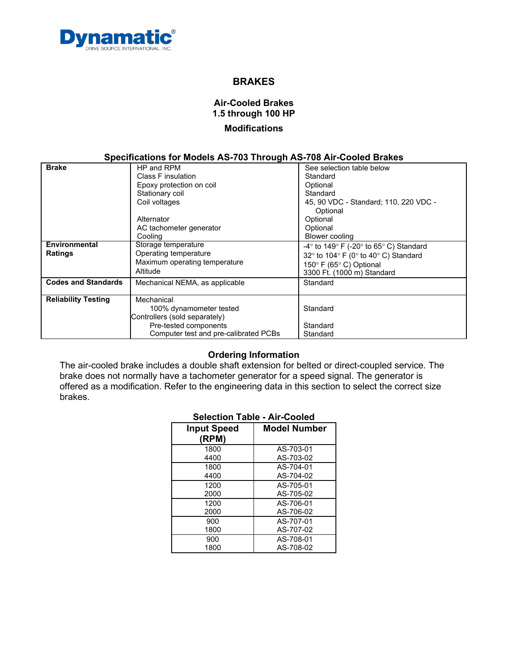

# **Air-Cooled Brakes 1.5 through 100 HP Modifications**

### **Specifications for Models AS-703 Through AS-708 Air-Cooled Brakes**

| <b>Brake</b>               | HP and RPM                            | See selection table below                                                  |
|----------------------------|---------------------------------------|----------------------------------------------------------------------------|
|                            |                                       |                                                                            |
|                            | Class F insulation                    | Standard                                                                   |
|                            | Epoxy protection on coil              | Optional                                                                   |
|                            | Stationary coil                       | Standard                                                                   |
|                            | Coil voltages                         | 45, 90 VDC - Standard; 110, 220 VDC -                                      |
|                            |                                       | Optional                                                                   |
|                            | Alternator                            | Optional                                                                   |
|                            | AC tachometer generator               | Optional                                                                   |
|                            | Cooling                               | Blower cooling                                                             |
| Environmental              | Storage temperature                   | -4 $\degree$ to 149 $\degree$ F (-20 $\degree$ to 65 $\degree$ C) Standard |
| <b>Ratings</b>             | Operating temperature                 | 32 $\degree$ to 104 $\degree$ F (0 $\degree$ to 40 $\degree$ C) Standard   |
|                            | Maximum operating temperature         | 150° F (65° C) Optional                                                    |
|                            | Altitude                              | 3300 Ft. (1000 m) Standard                                                 |
|                            |                                       |                                                                            |
| <b>Codes and Standards</b> | Mechanical NEMA, as applicable        | Standard                                                                   |
|                            |                                       |                                                                            |
| <b>Reliability Testing</b> | Mechanical                            |                                                                            |
|                            | 100% dynamometer tested               | Standard                                                                   |
|                            | Controllers (sold separately)         |                                                                            |
|                            | Pre-tested components                 | Standard                                                                   |
|                            | Computer test and pre-calibrated PCBs | Standard                                                                   |
|                            |                                       |                                                                            |

### **Ordering Information**

The air-cooled brake includes a double shaft extension for belted or direct-coupled service. The brake does not normally have a tachometer generator for a speed signal. The generator is offered as a modification. Refer to the engineering data in this section to select the correct size brakes.

### **Selection Table - Air-Cooled**

| <b>Input Speed</b><br>(RPM) | <b>Model Number</b> |
|-----------------------------|---------------------|
| 1800                        | AS-703-01           |
| 4400                        | AS-703-02           |
| 1800                        | AS-704-01           |
| 4400                        | AS-704-02           |
| 1200                        | AS-705-01           |
| 2000                        | AS-705-02           |
| 1200                        | AS-706-01           |
| 2000                        | AS-706-02           |
| 900                         | AS-707-01           |
| 1800                        | AS-707-02           |
| 900                         | AS-708-01           |
| 1800                        | AS-708-02           |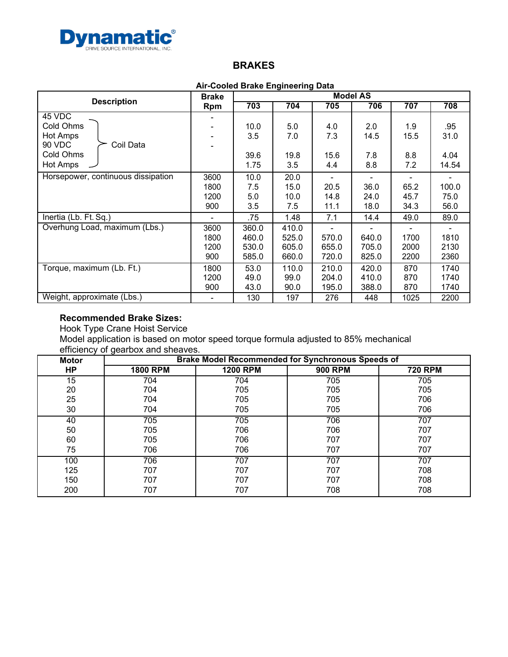

#### **Air-Cooled Brake Engineering Data**

|                                    | <b>Brake</b> | ----- 3<br><b>Model AS</b> |       |       |       |      |       |
|------------------------------------|--------------|----------------------------|-------|-------|-------|------|-------|
| <b>Description</b>                 | <b>Rpm</b>   | 703                        | 704   | 705   | 706   | 707  | 708   |
| 45 VDC                             |              |                            |       |       |       |      |       |
| Cold Ohms                          |              | 10.0                       | 5.0   | 4.0   | 2.0   | 1.9  | .95   |
| <b>Hot Amps</b>                    |              | 3.5                        | 7.0   | 7.3   | 14.5  | 15.5 | 31.0  |
| 90 VDC<br>Coil Data                |              |                            |       |       |       |      |       |
| Cold Ohms                          |              | 39.6                       | 19.8  | 15.6  | 7.8   | 8.8  | 4.04  |
| <b>Hot Amps</b>                    |              | 1.75                       | 3.5   | 4.4   | 8.8   | 7.2  | 14.54 |
| Horsepower, continuous dissipation | 3600         | 10.0                       | 20.0  |       |       |      |       |
|                                    | 1800         | 7.5                        | 15.0  | 20.5  | 36.0  | 65.2 | 100.0 |
|                                    | 1200         | 5.0                        | 10.0  | 14.8  | 24.0  | 45.7 | 75.0  |
|                                    | 900          | 3.5                        | 7.5   | 11.1  | 18.0  | 34.3 | 56.0  |
| Inertia (Lb. Ft. Sq.)              | ۰            | .75                        | 1.48  | 7.1   | 14.4  | 49.0 | 89.0  |
| Overhung Load, maximum (Lbs.)      | 3600         | 360.0                      | 410.0 |       |       |      |       |
|                                    | 1800         | 460.0                      | 525.0 | 570.0 | 640.0 | 1700 | 1810  |
|                                    | 1200         | 530.0                      | 605.0 | 655.0 | 705.0 | 2000 | 2130  |
|                                    | 900          | 585.0                      | 660.0 | 720.0 | 825.0 | 2200 | 2360  |
| Torque, maximum (Lb. Ft.)          | 1800         | 53.0                       | 110.0 | 210.0 | 420.0 | 870  | 1740  |
|                                    | 1200         | 49.0                       | 99.0  | 204.0 | 410.0 | 870  | 1740  |
|                                    | 900          | 43.0                       | 90.0  | 195.0 | 388.0 | 870  | 1740  |
| Weight, approximate (Lbs.)         |              | 130                        | 197   | 276   | 448   | 1025 | 2200  |

### **Recommended Brake Sizes:**

Hook Type Crane Hoist Service Model application is based on motor speed torque formula adjusted to 85% mechanical efficiency of gearbox and sheaves.

| <b>Motor</b> | <b>Brake Model Recommended for Synchronous Speeds of</b> |                 |                |                |  |
|--------------|----------------------------------------------------------|-----------------|----------------|----------------|--|
| <b>HP</b>    | <b>1800 RPM</b>                                          | <b>1200 RPM</b> | <b>900 RPM</b> | <b>720 RPM</b> |  |
| 15           | 704                                                      | 704             | 705            | 705            |  |
| 20           | 704                                                      | 705             | 705            | 705            |  |
| 25           | 704                                                      | 705             | 705            | 706            |  |
| 30           | 704                                                      | 705             | 705            | 706            |  |
| 40           | 705                                                      | 705             | 706            | 707            |  |
| 50           | 705                                                      | 706             | 706            | 707            |  |
| 60           | 705                                                      | 706             | 707            | 707            |  |
| 75           | 706                                                      | 706             | 707            | 707            |  |
| 100          | 706                                                      | 707             | 707            | 707            |  |
| 125          | 707                                                      | 707             | 707            | 708            |  |
| 150          | 707                                                      | 707             | 707            | 708            |  |
| 200          | 707                                                      | 707             | 708            | 708            |  |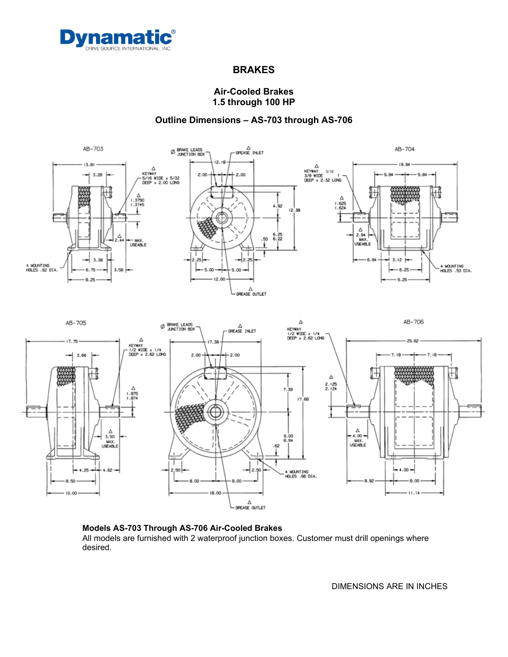

### **Air-Cooled Brakes 1.5 through 100 HP**

## **Outline Dimensions – AS-703 through AS-706**



#### **Models AS-703 Through AS-706 Air-Cooled Brakes** All models are furnished with 2 waterproof junction boxes. Customer must drill openings where desired.

DIMENSIONS ARE IN INCHES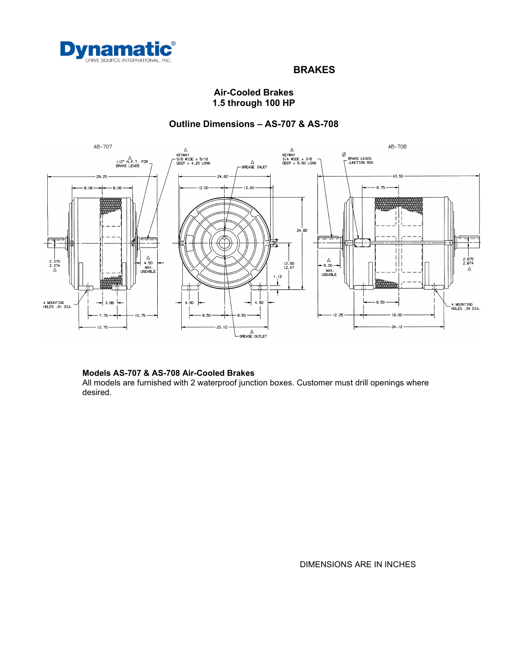

## **Air-Cooled Brakes 1.5 through 100 HP**

## **Outline Dimensions – AS-707 & AS-708**



#### **Models AS-707 & AS-708 Air-Cooled Brakes**

All models are furnished with 2 waterproof junction boxes. Customer must drill openings where desired.